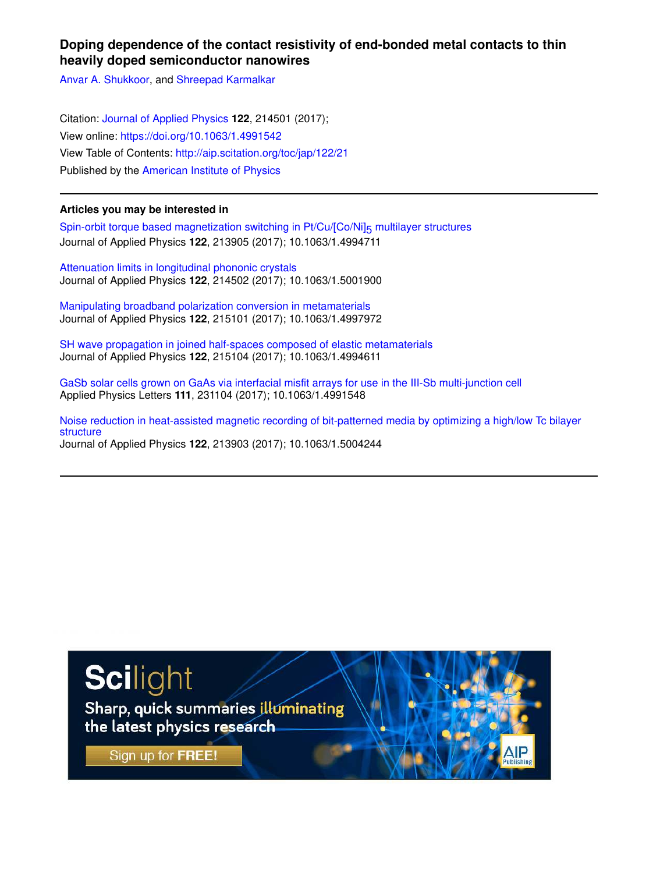# **Doping dependence of the contact resistivity of end-bonded metal contacts to thin heavily doped semiconductor nanowires**

Anvar A. Shukkoor, and Shreepad Karmalkar

Citation: Journal of Applied Physics **122**, 214501 (2017); View online: https://doi.org/10.1063/1.4991542 View Table of Contents: http://aip.scitation.org/toc/jap/122/21 Published by the American Institute of Physics

## **Articles you may be interested in**

Spin-orbit torque based magnetization switching in Pt/Cu/[Co/Ni]<sub>5</sub> multilayer structures Journal of Applied Physics **122**, 213905 (2017); 10.1063/1.4994711

Attenuation limits in longitudinal phononic crystals Journal of Applied Physics **122**, 214502 (2017); 10.1063/1.5001900

Manipulating broadband polarization conversion in metamaterials Journal of Applied Physics **122**, 215101 (2017); 10.1063/1.4997972

SH wave propagation in joined half-spaces composed of elastic metamaterials Journal of Applied Physics **122**, 215104 (2017); 10.1063/1.4994611

GaSb solar cells grown on GaAs via interfacial misfit arrays for use in the III-Sb multi-junction cell Applied Physics Letters **111**, 231104 (2017); 10.1063/1.4991548

Noise reduction in heat-assisted magnetic recording of bit-patterned media by optimizing a high/low Tc bilayer structure Journal of Applied Physics **122**, 213903 (2017); 10.1063/1.5004244

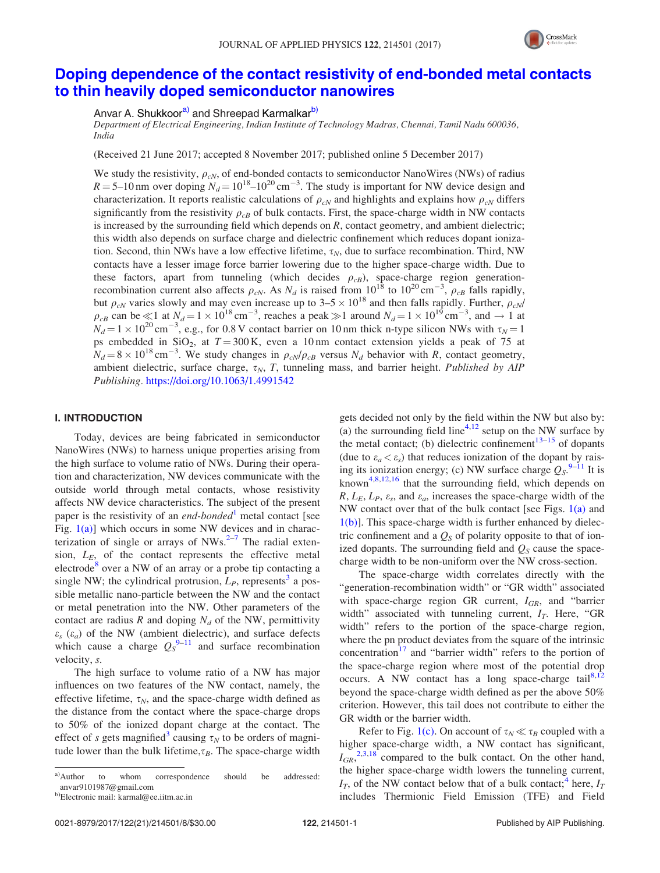

# Doping dependence of the contact resistivity of end-bonded metal contacts to thin heavily doped semiconductor nanowires

Anvar A. Shukkoor<sup>a)</sup> and Shreepad Karmalkar<sup>b)</sup>

Department of Electrical Engineering, Indian Institute of Technology Madras, Chennai, Tamil Nadu 600036, India

(Received 21 June 2017; accepted 8 November 2017; published online 5 December 2017)

We study the resistivity,  $\rho_{CN}$ , of end-bonded contacts to semiconductor NanoWires (NWs) of radius  $R = 5{\text -}10$  nm over doping  $N_d = 10^{18} {\text -}10^{20} \text{ cm}^{-3}$ . The study is important for NW device design and characterization. It reports realistic calculations of  $\rho_{cN}$  and highlights and explains how  $\rho_{cN}$  differs significantly from the resistivity  $\rho_{cB}$  of bulk contacts. First, the space-charge width in NW contacts is increased by the surrounding field which depends on R, contact geometry, and ambient dielectric; this width also depends on surface charge and dielectric confinement which reduces dopant ionization. Second, thin NWs have a low effective lifetime,  $\tau_N$ , due to surface recombination. Third, NW contacts have a lesser image force barrier lowering due to the higher space-charge width. Due to these factors, apart from tunneling (which decides  $\rho_{CB}$ ), space-charge region generationrecombination current also affects  $\rho_{cN}$ . As  $N_d$  is raised from  $10^{18}$  to  $10^{20}$  cm<sup>-3</sup>,  $\rho_{cB}$  falls rapidly, but  $\rho_{cN}$  varies slowly and may even increase up to  $3-5 \times 10^{18}$  and then falls rapidly. Further,  $\rho_{cN}$ /  $\rho_{cB}$  can be  $\ll 1$  at  $N_d = 1 \times 10^{18}$  cm<sup>-3</sup>, reaches a peak  $\gg 1$  around  $N_d = 1 \times 10^{19}$  cm<sup>-3</sup>, and  $\rightarrow 1$  at  $N_d = 1 \times 10^{20} \text{ cm}^{-3}$ , e.g., for 0.8 V contact barrier on 10 nm thick n-type silicon NWs with  $\tau_N = 1$ ps embedded in  $SiO_2$ , at  $T = 300$  K, even a 10 nm contact extension yields a peak of 75 at  $N_d = 8 \times 10^{18} \text{ cm}^{-3}$ . We study changes in  $\rho_{cN}/\rho_{cB}$  versus  $N_d$  behavior with R, contact geometry, ambient dielectric, surface charge,  $\tau_N$ , T, tunneling mass, and barrier height. Published by AIP Publishing. https://doi.org/10.1063/1.4991542

## I. INTRODUCTION

Today, devices are being fabricated in semiconductor NanoWires (NWs) to harness unique properties arising from the high surface to volume ratio of NWs. During their operation and characterization, NW devices communicate with the outside world through metal contacts, whose resistivity affects NW device characteristics. The subject of the present paper is the resistivity of an *end-bonded*<sup>1</sup> metal contact [see Fig.  $1(a)$ ] which occurs in some NW devices and in characterization of single or arrays of  $NWs.$ <sup>2-7</sup> The radial extension,  $L_E$ , of the contact represents the effective metal electrode<sup>8</sup> over a NW of an array or a probe tip contacting a single NW; the cylindrical protrusion,  $L_P$ , represents<sup>3</sup> a possible metallic nano-particle between the NW and the contact or metal penetration into the NW. Other parameters of the contact are radius R and doping  $N_d$  of the NW, permittivity  $\varepsilon_s$  ( $\varepsilon_a$ ) of the NW (ambient dielectric), and surface defects which cause a charge  $Q_S^{9-11}$  and surface recombination velocity, s.

The high surface to volume ratio of a NW has major influences on two features of the NW contact, namely, the effective lifetime,  $\tau_N$ , and the space-charge width defined as the distance from the contact where the space-charge drops to 50% of the ionized dopant charge at the contact. The effect of s gets magnified<sup>3</sup> causing  $\tau_N$  to be orders of magnitude lower than the bulk lifetime,  $\tau_B$ . The space-charge width

gets decided not only by the field within the NW but also by: (a) the surrounding field line<sup>4,12</sup> setup on the NW surface by the metal contact; (b) dielectric confinement<sup>13–15</sup> of dopants (due to  $\varepsilon_a < \varepsilon_s$ ) that reduces ionization of the dopant by raising its ionization energy; (c) NW surface charge  $Q_s$ <sup>9–11</sup> It is known<sup>4,8,12,16</sup> that the surrounding field, which depends on  $R, L_E, L_P, \varepsilon_s$ , and  $\varepsilon_a$ , increases the space-charge width of the NW contact over that of the bulk contact [see Figs.  $1(a)$  and 1(b)]. This space-charge width is further enhanced by dielectric confinement and a  $Q<sub>S</sub>$  of polarity opposite to that of ionized dopants. The surrounding field and  $Q<sub>S</sub>$  cause the spacecharge width to be non-uniform over the NW cross-section.

The space-charge width correlates directly with the "generation-recombination width" or "GR width" associated with space-charge region GR current,  $I_{GR}$ , and "barrier width" associated with tunneling current,  $I_T$ . Here, "GR width" refers to the portion of the space-charge region, where the pn product deviates from the square of the intrinsic concentration $17$  and "barrier width" refers to the portion of the space-charge region where most of the potential drop occurs. A NW contact has a long space-charge tail<sup>8,12</sup> beyond the space-charge width defined as per the above 50% criterion. However, this tail does not contribute to either the GR width or the barrier width.

Refer to Fig. 1(c). On account of  $\tau_N \ll \tau_B$  coupled with a higher space-charge width, a NW contact has significant,  $I_{GR}^{2,3,18}$  compared to the bulk contact. On the other hand, the higher space-charge width lowers the tunneling current,  $I_T$ , of the NW contact below that of a bulk contact;<sup>4</sup> here,  $I_T$ includes Thermionic Field Emission (TFE) and Field

a)Author to whom correspondence should be addressed: anvar9101987@gmail.com

b)Electronic mail: karmal@ee.iitm.ac.in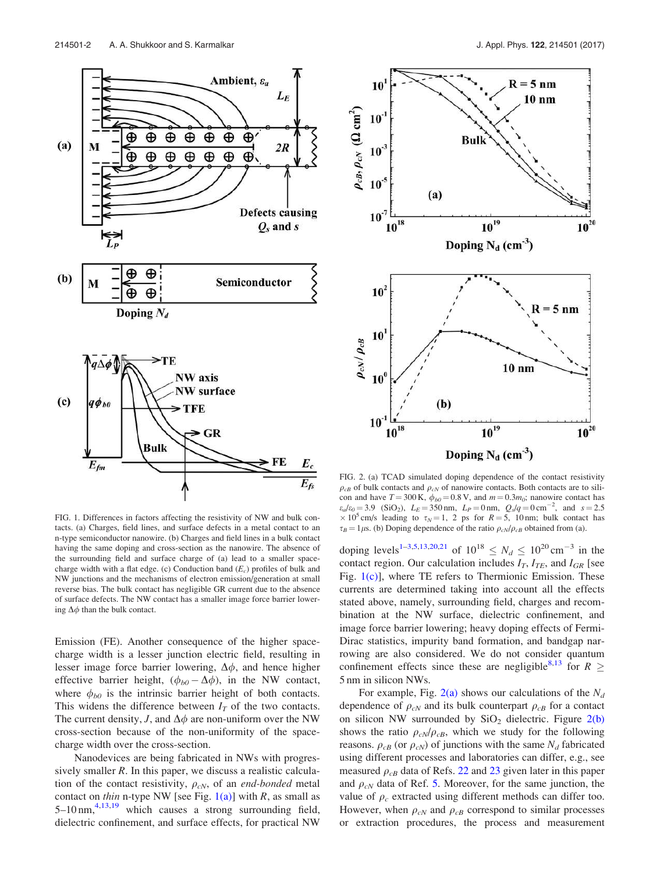

FIG. 1. Differences in factors affecting the resistivity of NW and bulk contacts. (a) Charges, field lines, and surface defects in a metal contact to an n-type semiconductor nanowire. (b) Charges and field lines in a bulk contact having the same doping and cross-section as the nanowire. The absence of the surrounding field and surface charge of (a) lead to a smaller spacecharge width with a flat edge. (c) Conduction band  $(E_c)$  profiles of bulk and NW junctions and the mechanisms of electron emission/generation at small reverse bias. The bulk contact has negligible GR current due to the absence of surface defects. The NW contact has a smaller image force barrier lowering  $\Delta \phi$  than the bulk contact.

Emission (FE). Another consequence of the higher spacecharge width is a lesser junction electric field, resulting in lesser image force barrier lowering,  $\Delta \phi$ , and hence higher effective barrier height,  $(\phi_{b0} - \Delta \phi)$ , in the NW contact, where  $\phi_{b0}$  is the intrinsic barrier height of both contacts. This widens the difference between  $I_T$  of the two contacts. The current density, J, and  $\Delta \phi$  are non-uniform over the NW cross-section because of the non-uniformity of the spacecharge width over the cross-section.

Nanodevices are being fabricated in NWs with progressively smaller  $R$ . In this paper, we discuss a realistic calculation of the contact resistivity,  $\rho_{cN}$ , of an *end-bonded* metal contact on thin n-type NW [see Fig.  $1(a)$ ] with R, as small as  $5-10$  nm,<sup>4,13,19</sup> which causes a strong surrounding field, dielectric confinement, and surface effects, for practical NW



FIG. 2. (a) TCAD simulated doping dependence of the contact resistivity  $\rho_{cB}$  of bulk contacts and  $\rho_{cN}$  of nanowire contacts. Both contacts are to silicon and have  $T = 300 \text{ K}$ ,  $\phi_{b0} = 0.8 \text{ V}$ , and  $m = 0.3 m_0$ ; nanowire contact has  $\varepsilon_a/\varepsilon_0 = 3.9$  (SiO<sub>2</sub>),  $L_E = 350$  nm,  $L_P = 0$  nm,  $Q_s/q = 0$  cm<sup>-2</sup>, and  $s = 2.5$  $\times$  10<sup>5</sup> cm/s leading to  $\tau_N$  = 1, 2 ps for R = 5, 10 nm; bulk contact has  $\tau_B = 1 \mu$ s. (b) Doping dependence of the ratio  $\rho_{cN}/\rho_{cB}$  obtained from (a).

doping levels<sup>1-3,5,13,20,21</sup> of  $10^{18} \leq N_d \leq 10^{20} \text{ cm}^{-3}$  in the contact region. Our calculation includes  $I_T$ ,  $I_{TE}$ , and  $I_{GR}$  [see Fig. 1(c)], where TE refers to Thermionic Emission. These currents are determined taking into account all the effects stated above, namely, surrounding field, charges and recombination at the NW surface, dielectric confinement, and image force barrier lowering; heavy doping effects of Fermi-Dirac statistics, impurity band formation, and bandgap narrowing are also considered. We do not consider quantum confinement effects since these are negligible<sup>8,13</sup> for  $R \geq$ 5 nm in silicon NWs.

For example, Fig. 2(a) shows our calculations of the  $N_d$ dependence of  $\rho_{cN}$  and its bulk counterpart  $\rho_{cB}$  for a contact on silicon NW surrounded by  $SiO<sub>2</sub>$  dielectric. Figure 2(b) shows the ratio  $\rho_{cN}/\rho_{cB}$ , which we study for the following reasons.  $\rho_{cB}$  (or  $\rho_{cN}$ ) of junctions with the same  $N_d$  fabricated using different processes and laboratories can differ, e.g., see measured  $\rho_{cB}$  data of Refs. 22 and 23 given later in this paper and  $\rho_{cN}$  data of Ref. 5. Moreover, for the same junction, the value of  $\rho_c$  extracted using different methods can differ too. However, when  $\rho_{cN}$  and  $\rho_{cB}$  correspond to similar processes or extraction procedures, the process and measurement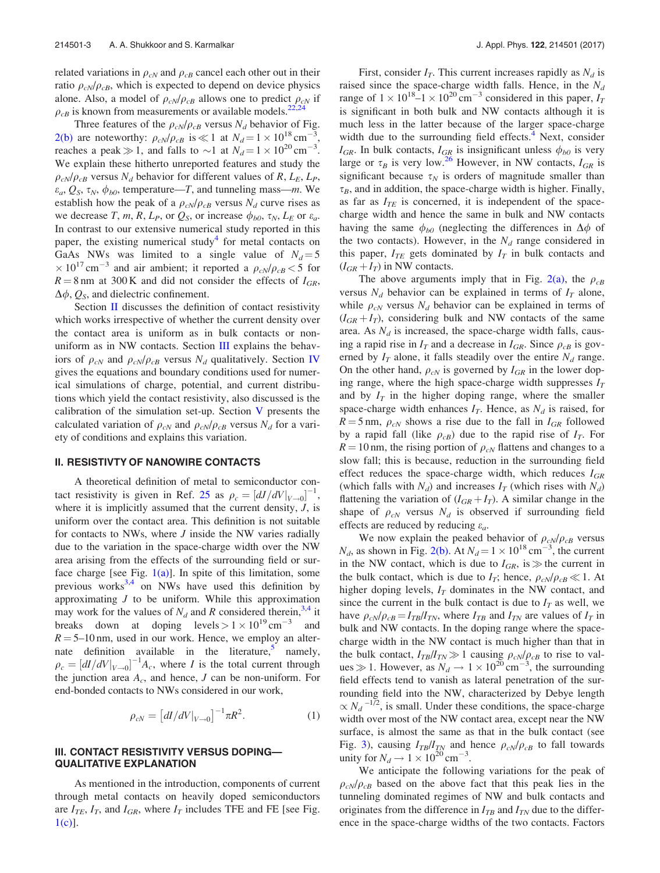related variations in  $\rho_{cN}$  and  $\rho_{cB}$  cancel each other out in their ratio  $\rho_{cN}/\rho_{cB}$ , which is expected to depend on device physics alone. Also, a model of  $\rho_{cN}/\rho_{cB}$  allows one to predict  $\rho_{cN}$  if  $\rho_{cB}$  is known from measurements or available models.<sup>22,24</sup>

Three features of the  $\rho_{cN}/\rho_{cB}$  versus  $N_d$  behavior of Fig. 2(b) are noteworthy:  $\rho_{cN}/\rho_{cB}$  is  $\ll 1$  at  $N_d = 1 \times 10^{18}$  cm<sup>-3</sup> , reaches a peak  $\gg 1$ , and falls to  $\sim 1$  at  $N_d = 1 \times 10^{20} \text{ cm}^{-3}$ . We explain these hitherto unreported features and study the  $\rho_{cN}/\rho_{cB}$  versus N<sub>d</sub> behavior for different values of R, L<sub>E</sub>, L<sub>P</sub>,  $\varepsilon_a, Q_S, \tau_N, \phi_{b0}$ , temperature—T, and tunneling mass—m. We establish how the peak of a  $\rho_{cN}/\rho_{cB}$  versus  $N_d$  curve rises as we decrease T, m, R,  $L_P$ , or  $Q_S$ , or increase  $\phi_{b0}$ ,  $\tau_N$ ,  $L_E$  or  $\varepsilon_a$ . In contrast to our extensive numerical study reported in this paper, the existing numerical study<sup>4</sup> for metal contacts on GaAs NWs was limited to a single value of  $N_d = 5$  $\times 10^{17}$  cm<sup>-3</sup> and air ambient; it reported a  $\rho_{cN}/\rho_{cB}$  < 5 for  $R = 8$  nm at 300 K and did not consider the effects of  $I_{GR}$ ,  $\Delta\phi$ ,  $Q_s$ , and dielectric confinement.

Section II discusses the definition of contact resistivity which works irrespective of whether the current density over the contact area is uniform as in bulk contacts or nonuniform as in NW contacts. Section III explains the behaviors of  $\rho_{cN}$  and  $\rho_{cN}/\rho_{cB}$  versus  $N_d$  qualitatively. Section IV gives the equations and boundary conditions used for numerical simulations of charge, potential, and current distributions which yield the contact resistivity, also discussed is the calibration of the simulation set-up. Section  $V$  presents the calculated variation of  $\rho_{cN}$  and  $\rho_{cN}/\rho_{cB}$  versus  $N_d$  for a variety of conditions and explains this variation.

#### II. RESISTIVTY OF NANOWIRE CONTACTS

A theoretical definition of metal to semiconductor contact resistivity is given in Ref. 25 as  $\rho_c = \left[ dJ/dV \right]_{V \to 0} \Big]^{-1}$ , where it is implicitly assumed that the current density,  $J$ , is uniform over the contact area. This definition is not suitable for contacts to NWs, where  $J$  inside the NW varies radially due to the variation in the space-charge width over the NW area arising from the effects of the surrounding field or surface charge [see Fig.  $1(a)$ ]. In spite of this limitation, some previous works<sup>3,4</sup> on NWs have used this definition by approximating  $J$  to be uniform. While this approximation may work for the values of  $N_d$  and R considered therein,<sup>3,4</sup> it breaks down at doping  $levels > 1 \times 10^{19} \text{ cm}^{-3}$  and  $R = 5{\text -}10$  nm, used in our work. Hence, we employ an alternate definition available in the literature,  $\frac{1}{2}$  namely,  $\rho_c = \left[dI/dV|_{V\rightarrow 0}\right]^{-1}A_c$ , where I is the total current through the junction area  $A_c$ , and hence,  $J$  can be non-uniform. For end-bonded contacts to NWs considered in our work,

$$
\rho_{cN} = [dI/dV|_{V \to 0}]^{-1} \pi R^2.
$$
 (1)

### III. CONTACT RESISTIVITY VERSUS DOPING— QUALITATIVE EXPLANATION

As mentioned in the introduction, components of current through metal contacts on heavily doped semiconductors are  $I_{TE}$ ,  $I_T$ , and  $I_{GR}$ , where  $I_T$  includes TFE and FE [see Fig.  $1(c)$ ].

First, consider  $I_T$ . This current increases rapidly as  $N_d$  is raised since the space-charge width falls. Hence, in the  $N_d$ range of  $1 \times 10^{18}$ – $1 \times 10^{20}$  cm<sup>-3</sup> considered in this paper,  $I_T$ is significant in both bulk and NW contacts although it is much less in the latter because of the larger space-charge width due to the surrounding field effects.<sup>4</sup> Next, consider  $I_{GR}$ . In bulk contacts,  $I_{GR}$  is insignificant unless  $\phi_{b0}$  is very large or  $\tau_B$  is very low.<sup>26</sup> However, in NW contacts,  $I_{GR}$  is significant because  $\tau_N$  is orders of magnitude smaller than  $\tau_B$ , and in addition, the space-charge width is higher. Finally, as far as  $I_{TE}$  is concerned, it is independent of the spacecharge width and hence the same in bulk and NW contacts having the same  $\phi_{b0}$  (neglecting the differences in  $\Delta \phi$  of the two contacts). However, in the  $N_d$  range considered in this paper,  $I_{TE}$  gets dominated by  $I_T$  in bulk contacts and  $(I_{GR} + I_T)$  in NW contacts.

The above arguments imply that in Fig. 2(a), the  $\rho_{cB}$ versus  $N_d$  behavior can be explained in terms of  $I_T$  alone, while  $\rho_{cN}$  versus  $N_d$  behavior can be explained in terms of  $(I_{GR} + I_T)$ , considering bulk and NW contacts of the same area. As  $N_d$  is increased, the space-charge width falls, causing a rapid rise in  $I_T$  and a decrease in  $I_{GR}$ . Since  $\rho_{CB}$  is governed by  $I_T$  alone, it falls steadily over the entire  $N_d$  range. On the other hand,  $\rho_{cN}$  is governed by  $I_{GR}$  in the lower doping range, where the high space-charge width suppresses  $I_T$ and by  $I_T$  in the higher doping range, where the smaller space-charge width enhances  $I_T$ . Hence, as  $N_d$  is raised, for  $R = 5$  nm,  $\rho_{cN}$  shows a rise due to the fall in  $I_{GR}$  followed by a rapid fall (like  $\rho_{cB}$ ) due to the rapid rise of  $I_T$ . For  $R = 10$  nm, the rising portion of  $\rho_{cN}$  flattens and changes to a slow fall; this is because, reduction in the surrounding field effect reduces the space-charge width, which reduces  $I_{GR}$ (which falls with  $N_d$ ) and increases  $I_T$  (which rises with  $N_d$ ) flattening the variation of  $(I_{GR} + I_T)$ . A similar change in the shape of  $\rho_{cN}$  versus  $N_d$  is observed if surrounding field effects are reduced by reducing  $\varepsilon_a$ .

We now explain the peaked behavior of  $\rho_{cN}/\rho_{cB}$  versus  $N_d$ , as shown in Fig. 2(b). At  $N_d = 1 \times 10^{18} \text{ cm}^{-3}$ , the current in the NW contact, which is due to  $I_{GR}$ , is  $\gg$  the current in the bulk contact, which is due to  $I_T$ ; hence,  $\rho_{cN}/\rho_{cB} \ll 1$ . At higher doping levels,  $I_T$  dominates in the NW contact, and since the current in the bulk contact is due to  $I_T$  as well, we have  $\rho_{cN}/\rho_{cB} = I_{TB}/I_{TN}$ , where  $I_{TB}$  and  $I_{TN}$  are values of  $I_T$  in bulk and NW contacts. In the doping range where the spacecharge width in the NW contact is much higher than that in the bulk contact,  $I_{TB}/I_{TN} \gg 1$  causing  $\rho_{cN}/\rho_{cB}$  to rise to values  $\gg$  1. However, as  $N_d \rightarrow 1 \times 10^{20} \text{ cm}^{-3}$ , the surrounding field effects tend to vanish as lateral penetration of the surrounding field into the NW, characterized by Debye length  $\propto N_d$ <sup>-172</sup>, is small. Under these conditions, the space-charge width over most of the NW contact area, except near the NW surface, is almost the same as that in the bulk contact (see Fig. 3), causing  $I_{TB}/I_{TN}$  and hence  $\rho_{cN}/\rho_{cB}$  to fall towards unity for  $N_d \rightarrow 1 \times 10^{20} \text{ cm}^{-3}$ .

We anticipate the following variations for the peak of  $\rho_{cN}/\rho_{cB}$  based on the above fact that this peak lies in the tunneling dominated regimes of NW and bulk contacts and originates from the difference in  $I_{TB}$  and  $I_{TN}$  due to the difference in the space-charge widths of the two contacts. Factors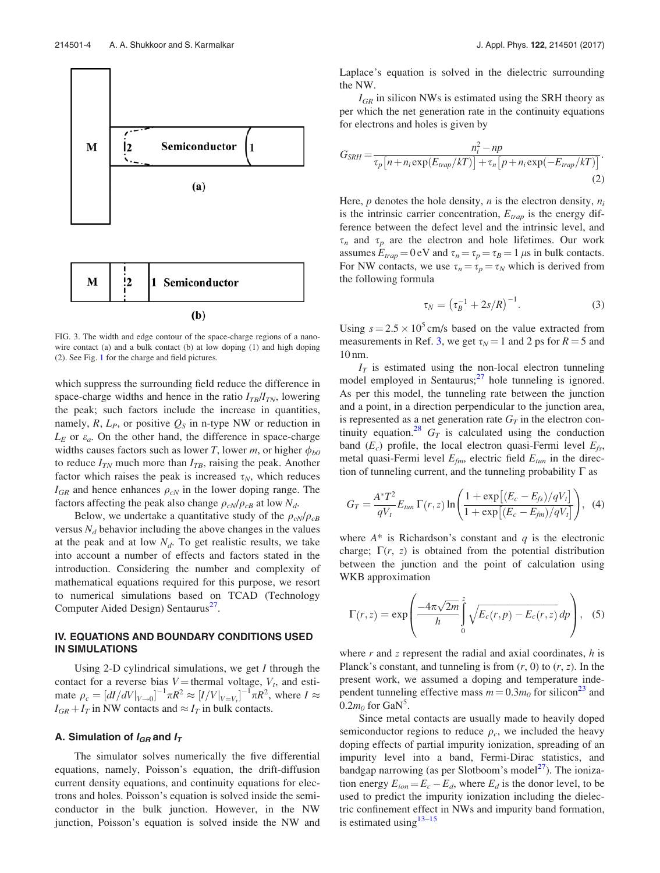

FIG. 3. The width and edge contour of the space-charge regions of a nanowire contact (a) and a bulk contact (b) at low doping (1) and high doping (2). See Fig. 1 for the charge and field pictures.

which suppress the surrounding field reduce the difference in space-charge widths and hence in the ratio  $I_{TB}/I_{TN}$ , lowering the peak; such factors include the increase in quantities, namely,  $R$ ,  $L_P$ , or positive  $Q_S$  in n-type NW or reduction in  $L_E$  or  $\varepsilon_a$ . On the other hand, the difference in space-charge widths causes factors such as lower T, lower m, or higher  $\phi_{b0}$ to reduce  $I_{TN}$  much more than  $I_{TB}$ , raising the peak. Another factor which raises the peak is increased  $\tau_N$ , which reduces  $I_{GR}$  and hence enhances  $\rho_{cN}$  in the lower doping range. The factors affecting the peak also change  $\rho_{cN}/\rho_{cB}$  at low  $N_d$ .

Below, we undertake a quantitative study of the  $\rho_{cN}/\rho_{cB}$ versus  $N_d$  behavior including the above changes in the values at the peak and at low  $N_d$ . To get realistic results, we take into account a number of effects and factors stated in the introduction. Considering the number and complexity of mathematical equations required for this purpose, we resort to numerical simulations based on TCAD (Technology Computer Aided Design) Sentaurus<sup>27</sup>.

## IV. EQUATIONS AND BOUNDARY CONDITIONS USED IN SIMULATIONS

Using 2-D cylindrical simulations, we get  $I$  through the contact for a reverse bias  $V =$  thermal voltage,  $V_t$ , and estimate  $\rho_c = \left[ \frac{dI}{dV}\right]_{V \to 0} \right]^{-1} \pi R^2 \approx \left[ \frac{I}{V}\right]_{V=V_l} \right]^{-1} \pi R^2$ , where  $I \approx$  $I_{GR} + I_T$  in NW contacts and  $\approx I_T$  in bulk contacts.

## A. Simulation of  $I_{GR}$  and  $I_T$

The simulator solves numerically the five differential equations, namely, Poisson's equation, the drift-diffusion current density equations, and continuity equations for electrons and holes. Poisson's equation is solved inside the semiconductor in the bulk junction. However, in the NW junction, Poisson's equation is solved inside the NW and Laplace's equation is solved in the dielectric surrounding the NW.

 $I_{GR}$  in silicon NWs is estimated using the SRH theory as per which the net generation rate in the continuity equations for electrons and holes is given by

$$
G_{SRH} = \frac{n_i^2 - np}{\tau_p \left[ n + n_i \exp(E_{trap}/kT) \right] + \tau_n \left[ p + n_i \exp(-E_{trap}/kT) \right]}.
$$
\n(2)

Here,  $p$  denotes the hole density,  $n_i$  is the electron density,  $n_i$ is the intrinsic carrier concentration,  $E_{tran}$  is the energy difference between the defect level and the intrinsic level, and  $\tau_n$  and  $\tau_p$  are the electron and hole lifetimes. Our work assumes  $E_{trap} = 0$  eV and  $\tau_n = \tau_p = \tau_B = 1$   $\mu$ s in bulk contacts. For NW contacts, we use  $\tau_n = \tau_p = \tau_N$  which is derived from the following formula

$$
\tau_N = \left(\tau_B^{-1} + 2s/R\right)^{-1}.\tag{3}
$$

Using  $s = 2.5 \times 10^5$  cm/s based on the value extracted from measurements in Ref. 3, we get  $\tau_N = 1$  and 2 ps for  $R = 5$  and 10 nm.

 $I_T$  is estimated using the non-local electron tunneling model employed in Sentaurus; $27$  hole tunneling is ignored. As per this model, the tunneling rate between the junction and a point, in a direction perpendicular to the junction area, is represented as a net generation rate  $G_T$  in the electron continuity equation.<sup>28</sup>  $G_T$  is calculated using the conduction band  $(E_c)$  profile, the local electron quasi-Fermi level  $E_f$ , metal quasi-Fermi level  $E_{\text{fm}}$ , electric field  $E_{\text{tun}}$  in the direction of tunneling current, and the tunneling probability  $\Gamma$  as

$$
G_T = \frac{A^* T^2}{qV_t} E_{tun} \Gamma(r, z) \ln \left( \frac{1 + \exp \left[ (E_c - E_{fs})/qV_t \right]}{1 + \exp \left[ (E_c - E_{fm})/qV_t \right]} \right), \tag{4}
$$

where  $A^*$  is Richardson's constant and q is the electronic charge;  $\Gamma(r, z)$  is obtained from the potential distribution between the junction and the point of calculation using WKB approximation

$$
\Gamma(r,z) = \exp\left(\frac{-4\pi\sqrt{2m}}{h}\int_{0}^{z} \sqrt{E_c(r,p) - E_c(r,z)} dp\right), \quad (5)
$$

where  $r$  and  $z$  represent the radial and axial coordinates,  $h$  is Planck's constant, and tunneling is from  $(r, 0)$  to  $(r, z)$ . In the present work, we assumed a doping and temperature independent tunneling effective mass  $m = 0.3m_0$  for silicon<sup>23</sup> and  $0.2m_0$  for GaN<sup>5</sup>.

Since metal contacts are usually made to heavily doped semiconductor regions to reduce  $\rho_c$ , we included the heavy doping effects of partial impurity ionization, spreading of an impurity level into a band, Fermi-Dirac statistics, and bandgap narrowing (as per Slotboom's model $^{27}$ ). The ionization energy  $E_{ion} = E_c - E_d$ , where  $E_d$  is the donor level, to be used to predict the impurity ionization including the dielectric confinement effect in NWs and impurity band formation, is estimated using  $13-15$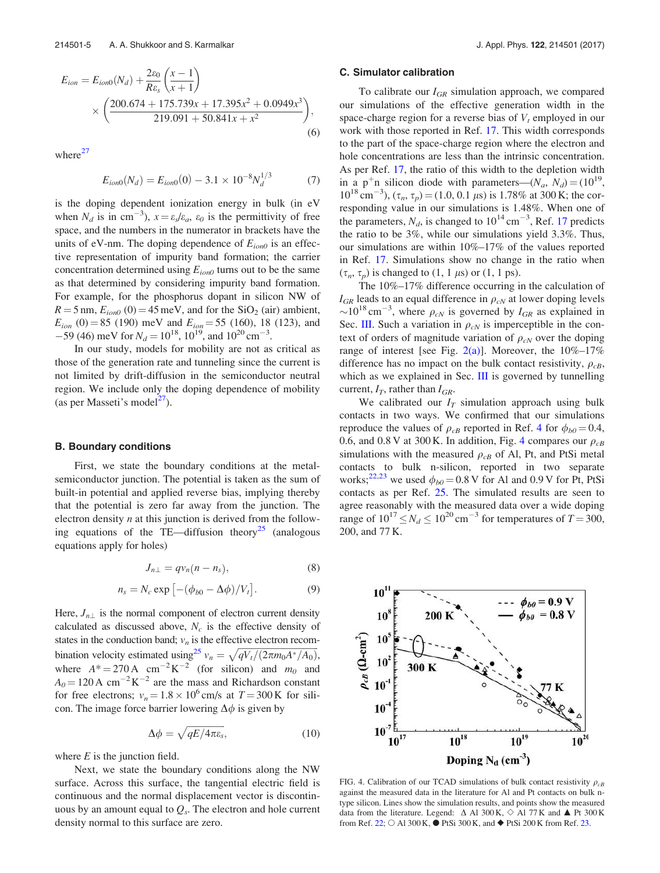$$
E_{ion} = E_{ion0}(N_d) + \frac{2\varepsilon_0}{R\varepsilon_s} \left(\frac{x-1}{x+1}\right)
$$
  
 
$$
\times \left(\frac{200.674 + 175.739x + 17.395x^2 + 0.0949x^3}{219.091 + 50.841x + x^2}\right),
$$
 (6)

where $^{27}$ 

$$
E_{ion0}(N_d) = E_{ion0}(0) - 3.1 \times 10^{-8} N_d^{1/3}
$$
 (7)

is the doping dependent ionization energy in bulk (in eV when  $N_d$  is in cm<sup>-3</sup>),  $x = \varepsilon_s / \varepsilon_a$ ,  $\varepsilon_0$  is the permittivity of free space, and the numbers in the numerator in brackets have the units of eV-nm. The doping dependence of  $E_{ion0}$  is an effective representation of impurity band formation; the carrier concentration determined using  $E_{ion0}$  turns out to be the same as that determined by considering impurity band formation. For example, for the phosphorus dopant in silicon NW of  $R = 5$  nm,  $E_{ion0}$  (0) = 45 meV, and for the SiO<sub>2</sub> (air) ambient,  $E_{ion}$  (0) = 85 (190) meV and  $E_{ion}$  = 55 (160), 18 (123), and  $-59$  (46) meV for  $N_d = 10^{18}$ ,  $10^{19}$ , and  $10^{20}$  cm<sup>-3</sup>.

In our study, models for mobility are not as critical as those of the generation rate and tunneling since the current is not limited by drift-diffusion in the semiconductor neutral region. We include only the doping dependence of mobility (as per Masseti's model<sup>27</sup>).

#### B. Boundary conditions

First, we state the boundary conditions at the metalsemiconductor junction. The potential is taken as the sum of built-in potential and applied reverse bias, implying thereby that the potential is zero far away from the junction. The electron density  $n$  at this junction is derived from the following equations of the TE—diffusion theory<sup>25</sup> (analogous equations apply for holes)

$$
J_{n\perp} = qv_n(n - n_s), \tag{8}
$$

$$
n_s = N_c \exp\left[-(\phi_{b0} - \Delta\phi)/V_t\right].\tag{9}
$$

Here,  $J_{n\perp}$  is the normal component of electron current density calculated as discussed above,  $N_c$  is the effective density of states in the conduction band;  $v_n$  is the effective electron recombination velocity estimated using<sup>25</sup>  $v_n = \sqrt{\frac{qV_t}{(2\pi m_0A^*/A_0)}}$ , where  $A^* = 270 \text{ A cm}^{-2} \text{ K}^{-2}$  (for silicon) and  $m_0$  and  $A_0 = 120 \text{ A cm}^{-2} \text{K}^{-2}$  are the mass and Richardson constant for free electrons;  $v_n = 1.8 \times 10^6$  cm/s at  $T = 300$  K for silicon. The image force barrier lowering  $\Delta \phi$  is given by

$$
\Delta \phi = \sqrt{qE/4\pi \varepsilon_{s}}, \qquad (10)
$$

where  $E$  is the junction field.

Next, we state the boundary conditions along the NW surface. Across this surface, the tangential electric field is continuous and the normal displacement vector is discontinuous by an amount equal to  $Q_s$ . The electron and hole current density normal to this surface are zero.

#### C. Simulator calibration

To calibrate our  $I_{GR}$  simulation approach, we compared our simulations of the effective generation width in the space-charge region for a reverse bias of  $V_t$  employed in our work with those reported in Ref. 17. This width corresponds to the part of the space-charge region where the electron and hole concentrations are less than the intrinsic concentration. As per Ref. 17, the ratio of this width to the depletion width in a p<sup>+</sup>n silicon diode with parameters— $(N_a, N_d) = (10^{19},$  $10^{18}$  cm<sup>-3</sup>),  $(\tau_n, \tau_p) = (1.0, 0.1 \,\mu s)$  is 1.78% at 300 K; the corresponding value in our simulations is 1.48%. When one of the parameters,  $N_d$ , is changed to  $10^{14}$  cm<sup>-3</sup>, Ref. 17 predicts the ratio to be 3%, while our simulations yield 3.3%. Thus, our simulations are within 10%–17% of the values reported in Ref. 17. Simulations show no change in the ratio when  $(\tau_n, \tau_p)$  is changed to  $(1, 1 \mu s)$  or  $(1, 1 \mu s)$ .

The 10%–17% difference occurring in the calculation of  $I_{GR}$  leads to an equal difference in  $\rho_{cN}$  at lower doping levels  $\sim 10^{18}$  cm<sup>-3</sup>, where  $\rho_{cN}$  is governed by  $I_{GR}$  as explained in Sec. III. Such a variation in  $\rho_{cN}$  is imperceptible in the context of orders of magnitude variation of  $\rho_{cN}$  over the doping range of interest [see Fig.  $2(a)$ ]. Moreover, the  $10\%$ -17% difference has no impact on the bulk contact resistivity,  $\rho_{cB}$ , which as we explained in Sec. III is governed by tunnelling current,  $I_T$ , rather than  $I_{GR}$ .

We calibrated our  $I_T$  simulation approach using bulk contacts in two ways. We confirmed that our simulations reproduce the values of  $\rho_{cB}$  reported in Ref. 4 for  $\phi_{b0} = 0.4$ , 0.6, and 0.8 V at 300 K. In addition, Fig. 4 compares our  $\rho_{cB}$ simulations with the measured  $\rho_{cB}$  of Al, Pt, and PtSi metal contacts to bulk n-silicon, reported in two separate works;<sup>22,23</sup> we used  $\phi_{b0} = 0.8 \text{ V}$  for Al and 0.9 V for Pt, PtSi contacts as per Ref. 25. The simulated results are seen to agree reasonably with the measured data over a wide doping range of  $10^{17} \leq N_d \leq 10^{20} \text{ cm}^{-3}$  for temperatures of  $T = 300$ , 200, and 77 K.

FIG. 4. Calibration of our TCAD simulations of bulk contact resistivity  $\rho_{cB}$ against the measured data in the literature for Al and Pt contacts on bulk ntype silicon. Lines show the simulation results, and points show the measured data from the literature. Legend:  $\Delta$  Al 300 K,  $\Diamond$  Al 77 K and  $\blacktriangle$  Pt 300 K from Ref. 22;  $\circ$  Al 300 K,  $\bullet$  PtSi 300 K, and  $\bullet$  PtSi 200 K from Ref. 23.

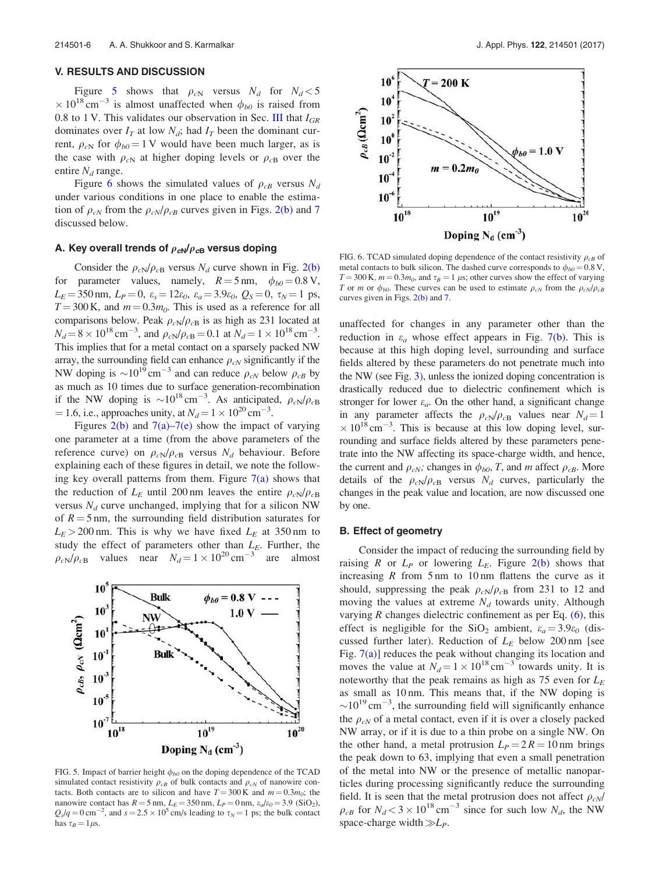#### V. RESULTS AND DISCUSSION

Figure 5 shows that  $\rho_{cN}$  versus  $N_d$  for  $N_d < 5$  $\times 10^{18}$  cm<sup>-3</sup> is almost unaffected when  $\phi_{b0}$  is raised from 0.8 to 1 V. This validates our observation in Sec. III that  $I_{GR}$ dominates over  $I_T$  at low  $N_d$ ; had  $I_T$  been the dominant current,  $\rho_{cN}$  for  $\phi_{b0} = 1$  V would have been much larger, as is the case with  $\rho_{cN}$  at higher doping levels or  $\rho_{cB}$  over the entire  $N_d$  range.

Figure 6 shows the simulated values of  $\rho_{cB}$  versus  $N_d$ under various conditions in one place to enable the estimation of  $\rho_{cN}$  from the  $\rho_{cN}/\rho_{cB}$  curves given in Figs. 2(b) and 7 discussed below.

## A. Key overall trends of  $\rho_{cN}/\rho_{cB}$  versus doping

Consider the  $\rho_{cN}/\rho_{cB}$  versus  $N_d$  curve shown in Fig. 2(b) for parameter values, namely,  $R = 5$  nm,  $\phi_{b0} = 0.8$  V,  $L_E = 350 \text{ nm}, L_P = 0, \varepsilon_s = 12\varepsilon_0, \varepsilon_a = 3.9\varepsilon_0, Q_S = 0, \tau_N = 1 \text{ ps},$  $T = 300$  K, and  $m = 0.3m<sub>0</sub>$ . This is used as a reference for all comparisons below. Peak  $\rho_{cN}/\rho_{cB}$  is as high as 231 located at  $N_d = 8 \times 10^{18} \text{ cm}^{-3}$ , and  $\rho_{cN}/\rho_{cB} = 0.1$  at  $N_d = 1 \times 10^{18} \text{ cm}^{-3}$ . This implies that for a metal contact on a sparsely packed NW array, the surrounding field can enhance  $\rho_{cN}$  significantly if the NW doping is  $\sim 10^{19}$  cm<sup>-3</sup> and can reduce  $\rho_{cN}$  below  $\rho_{cB}$  by as much as 10 times due to surface generation-recombination if the NW doping is  $\sim 10^{18} \text{ cm}^{-3}$ . As anticipated,  $\rho_{cN}/\rho_{cB}$  $= 1.6$ , i.e., approaches unity, at  $N_d = 1 \times 10^{20} \text{ cm}^{-3}$ .

Figures  $2(b)$  and  $7(a)$ – $7(e)$  show the impact of varying one parameter at a time (from the above parameters of the reference curve) on  $\rho_{cN}/\rho_{cB}$  versus  $N_d$  behaviour. Before explaining each of these figures in detail, we note the following key overall patterns from them. Figure  $7(a)$  shows that the reduction of  $L_E$  until 200 nm leaves the entire  $\rho_{cN}/\rho_{cB}$ versus  $N_d$  curve unchanged, implying that for a silicon NW of  $R = 5$  nm, the surrounding field distribution saturates for  $L_E > 200$  nm. This is why we have fixed  $L_E$  at 350 nm to study the effect of parameters other than  $L_E$ . Further, the  $\rho_{cN}/\rho_{cB}$  values near  $N_d = 1 \times 10^{20} \text{ cm}^{-3}$  are almost



FIG. 5. Impact of barrier height  $\phi_{b0}$  on the doping dependence of the TCAD simulated contact resistivity  $\rho_{cB}$  of bulk contacts and  $\rho_{cN}$  of nanowire contacts. Both contacts are to silicon and have  $T = 300 \text{ K}$  and  $m = 0.3m_0$ ; the nanowire contact has  $R = 5$  nm,  $L<sub>E</sub> = 350$  nm,  $L<sub>P</sub> = 0$  nm,  $\varepsilon<sub>a</sub>/\varepsilon<sub>0</sub> = 3.9$  (SiO<sub>2</sub>),  $Q_s/q = 0 \text{ cm}^{-2}$ , and  $s = 2.5 \times 10^5 \text{ cm/s}$  leading to  $\tau_N = 1$  ps; the bulk contact has  $\tau_B = 1 \mu s$ .



FIG. 6. TCAD simulated doping dependence of the contact resistivity  $\rho_{CB}$  of metal contacts to bulk silicon. The dashed curve corresponds to  $\phi_{b0} = 0.8 \text{ V}$ ,  $T = 300$  K,  $m = 0.3m_0$ , and  $\tau_B = 1$   $\mu$ s; other curves show the effect of varying T or m or  $\phi_{b0}$ . These curves can be used to estimate  $\rho_{cN}$  from the  $\rho_{cN}/\rho_{cB}$ curves given in Figs.  $2(b)$  and 7.

unaffected for changes in any parameter other than the reduction in  $\varepsilon_a$  whose effect appears in Fig. 7(b). This is because at this high doping level, surrounding and surface fields altered by these parameters do not penetrate much into the NW (see Fig. 3), unless the ionized doping concentration is drastically reduced due to dielectric confinement which is stronger for lower  $\varepsilon_a$ . On the other hand, a significant change in any parameter affects the  $\rho_{cN}/\rho_{cB}$  values near  $N_d = 1$  $\times$  10<sup>18</sup> cm<sup>-3</sup>. This is because at this low doping level, surrounding and surface fields altered by these parameters penetrate into the NW affecting its space-charge width, and hence, the current and  $\rho_{cN}$ ; changes in  $\phi_{b0}$ , T, and m affect  $\rho_{cB}$ . More details of the  $\rho_{cN}/\rho_{cB}$  versus  $N_d$  curves, particularly the changes in the peak value and location, are now discussed one by one.

### B. Effect of geometry

Consider the impact of reducing the surrounding field by raising R or  $L_P$  or lowering  $L_E$ . Figure 2(b) shows that increasing  $R$  from  $5 \text{ nm}$  to  $10 \text{ nm}$  flattens the curve as it should, suppressing the peak  $\rho_{cN}/\rho_{cB}$  from 231 to 12 and moving the values at extreme  $N_d$  towards unity. Although varying  $R$  changes dielectric confinement as per Eq.  $(6)$ , this effect is negligible for the SiO<sub>2</sub> ambient,  $\varepsilon_a = 3.9\varepsilon_0$  (discussed further later). Reduction of  $L_E$  below 200 nm [see Fig.  $7(a)$ ] reduces the peak without changing its location and moves the value at  $N_d = 1 \times 10^{18} \text{ cm}^{-3}$  towards unity. It is noteworthy that the peak remains as high as 75 even for  $L<sub>E</sub>$ as small as 10 nm. This means that, if the NW doping is  $\sim$ 10<sup>19</sup> cm<sup>-3</sup>, the surrounding field will significantly enhance the  $\rho_{cN}$  of a metal contact, even if it is over a closely packed NW array, or if it is due to a thin probe on a single NW. On the other hand, a metal protrusion  $L_P = 2R = 10$  nm brings the peak down to 63, implying that even a small penetration of the metal into NW or the presence of metallic nanoparticles during processing significantly reduce the surrounding field. It is seen that the metal protrusion does not affect  $\rho_{cN}$ /  $\rho_{cB}$  for  $N_d < 3 \times 10^{18} \text{ cm}^{-3}$  since for such low  $N_d$ , the NW space-charge width  $\gg L_P$ .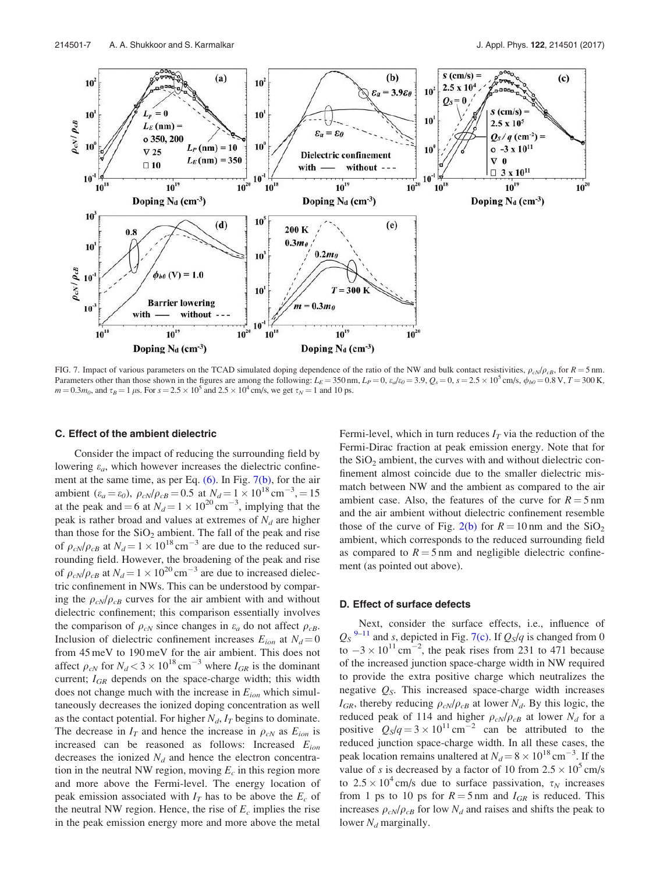

FIG. 7. Impact of various parameters on the TCAD simulated doping dependence of the ratio of the NW and bulk contact resistivities,  $\rho_{cN}/\rho_{cB}$ , for  $R = 5$  nm. Parameters other than those shown in the figures are among the following:  $L_E = 350$  nm,  $L_P = 0$ ,  $\varepsilon_d/\varepsilon_0 = 3.9$ ,  $Q_s = 0$ ,  $s = 2.5 \times 10^5$  cm/s,  $\phi_{b0} = 0.8$  V,  $T = 300$  K,  $m = 0.3 m_0$ , and  $\tau_B = 1 \,\mu$ s. For  $s = 2.5 \times 10^5$  and  $2.5 \times 10^4$  cm/s, we get  $\tau_N = 1$  and 10 ps.

#### C. Effect of the ambient dielectric

Consider the impact of reducing the surrounding field by lowering  $\varepsilon_a$ , which however increases the dielectric confinement at the same time, as per Eq. (6). In Fig. 7(b), for the air ambient  $(\varepsilon_a = \varepsilon_0)$ ,  $\rho_{cN}/\rho_{cB} = 0.5$  at  $N_d = 1 \times 10^{18}$  cm<sup>-3</sup>, = 15 at the peak and  $= 6$  at  $N_d = 1 \times 10^{20} \text{ cm}^{-3}$ , implying that the peak is rather broad and values at extremes of  $N_d$  are higher than those for the  $SiO<sub>2</sub>$  ambient. The fall of the peak and rise of  $\rho_{cN}/\rho_{cB}$  at  $N_d = 1 \times 10^{18} \text{ cm}^{-3}$  are due to the reduced surrounding field. However, the broadening of the peak and rise of  $\rho_{cN}/\rho_{cB}$  at  $N_d = 1 \times 10^{20}$  cm<sup>-3</sup> are due to increased dielectric confinement in NWs. This can be understood by comparing the  $\rho_{cN}/\rho_{cB}$  curves for the air ambient with and without dielectric confinement; this comparison essentially involves the comparison of  $\rho_{cN}$  since changes in  $\varepsilon_a$  do not affect  $\rho_{cB}$ . Inclusion of dielectric confinement increases  $E_{ion}$  at  $N_d = 0$ from 45 meV to 190 meV for the air ambient. This does not affect  $\rho_{cN}$  for  $N_d < 3 \times 10^{18}$  cm<sup>-3</sup> where  $I_{GR}$  is the dominant current;  $I_{GR}$  depends on the space-charge width; this width does not change much with the increase in  $E_{ion}$  which simultaneously decreases the ionized doping concentration as well as the contact potential. For higher  $N_d$ ,  $I_T$  begins to dominate. The decrease in  $I_T$  and hence the increase in  $\rho_{cN}$  as  $E_{ion}$  is increased can be reasoned as follows: Increased  $E_{ion}$ decreases the ionized  $N_d$  and hence the electron concentration in the neutral NW region, moving  $E_c$  in this region more and more above the Fermi-level. The energy location of peak emission associated with  $I<sub>T</sub>$  has to be above the  $E<sub>c</sub>$  of the neutral NW region. Hence, the rise of  $E_c$  implies the rise in the peak emission energy more and more above the metal Fermi-level, which in turn reduces  $I_T$  via the reduction of the Fermi-Dirac fraction at peak emission energy. Note that for the  $SiO<sub>2</sub>$  ambient, the curves with and without dielectric confinement almost coincide due to the smaller dielectric mismatch between NW and the ambient as compared to the air ambient case. Also, the features of the curve for  $R = 5$  nm and the air ambient without dielectric confinement resemble those of the curve of Fig. 2(b) for  $R = 10$  nm and the SiO<sub>2</sub> ambient, which corresponds to the reduced surrounding field as compared to  $R = 5$  nm and negligible dielectric confinement (as pointed out above).

## D. Effect of surface defects

Next, consider the surface effects, i.e., influence of  $Q_S^{9-11}$  and s, depicted in Fig. 7(c). If  $Q_S/q$  is changed from 0 to  $-3 \times 10^{11} \text{ cm}^{-2}$ , the peak rises from 231 to 471 because of the increased junction space-charge width in NW required to provide the extra positive charge which neutralizes the negative  $Q_S$ . This increased space-charge width increases  $I_{GR}$ , thereby reducing  $\rho_{cN}/\rho_{cB}$  at lower  $N_d$ . By this logic, the reduced peak of 114 and higher  $\rho_{cN}/\rho_{cB}$  at lower  $N_d$  for a positive  $Q_S/q = 3 \times 10^{11} \text{ cm}^{-2}$  can be attributed to the reduced junction space-charge width. In all these cases, the peak location remains unaltered at  $N_d = 8 \times 10^{18} \text{ cm}^{-3}$ . If the value of s is decreased by a factor of 10 from  $2.5 \times 10^5$  cm/s to  $2.5 \times 10^4$  cm/s due to surface passivation,  $\tau_N$  increases from 1 ps to 10 ps for  $R = 5$  nm and  $I_{GR}$  is reduced. This increases  $\rho_{cN}/\rho_{cB}$  for low  $N_d$  and raises and shifts the peak to lower  $N_d$  marginally.